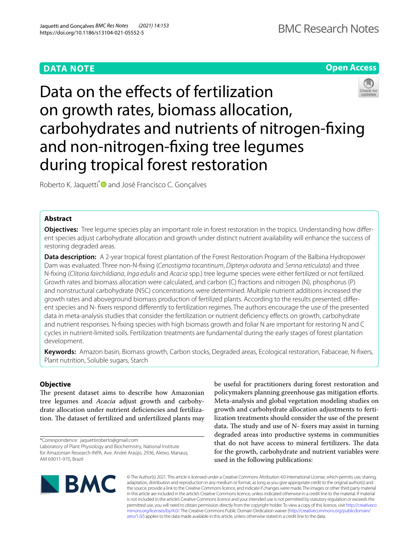## **DATA NOTE**

**Open Access**

# Data on the effects of fertilization on growth rates, biomass allocation, carbohydrates and nutrients of nitrogen-fxing and non-nitrogen-fxing tree legumes during tropical forest restoration

Roberto K. Jaquetti<sup>[\\*](http://orcid.org/0000-0002-9450-2209)</sup> and José Francisco C. Gonçalves

## **Abstract**

**Objectives:** Tree legume species play an important role in forest restoration in the tropics. Understanding how diferent species adjust carbohydrate allocation and growth under distinct nutrient availability will enhance the success of restoring degraded areas.

**Data description:** A 2-year tropical forest plantation of the Forest Restoration Program of the Balbina Hydropower Dam was evaluated. Three non-N-fxing (*Cenostigma tocantinum*, *Dipteryx odorata* and *Senna reticulata*) and three N-fxing (*Clitoria fairchildiana*, *Inga edulis* and *Acacia* spp.) tree legume species were either fertilized or not fertilized. Growth rates and biomass allocation were calculated, and carbon (C) fractions and nitrogen (N), phosphorus (P) and nonstructural carbohydrate (NSC) concentrations were determined. Multiple nutrient additions increased the growth rates and aboveground biomass production of fertilized plants. According to the results presented, diferent species and N- fxers respond diferently to fertilization regimes. The authors encourage the use of the presented data in meta-analysis studies that consider the fertilization or nutrient defciency efects on growth, carbohydrate and nutrient responses. N-fxing species with high biomass growth and foliar N are important for restoring N and C cycles in nutrient-limited soils. Fertilization treatments are fundamental during the early stages of forest plantation development.

**Keywords:** Amazon basin, Biomass growth, Carbon stocks, Degraded areas, Ecological restoration, Fabaceae, N-fxers, Plant nutrition, Soluble sugars, Starch

## **Objective**

The present dataset aims to describe how Amazonian tree legumes and *Acacia* adjust growth and carbohydrate allocation under nutrient defciencies and fertilization. The dataset of fertilized and unfertilized plants may

\*Correspondence: jaquettiroberto@gmail.com Laboratory of Plant Physiology and Biochemistry, National Institute for Amazonian Research-INPA, Ave. André Araújo, 2936, Aleixo, Manaus, AM 69011-970, Brazil

be useful for practitioners during forest restoration and policymakers planning greenhouse gas mitigation eforts. Meta-analysis and global vegetation modeling studies on growth and carbohydrate allocation adjustments to fertilization treatments should consider the use of the present data. The study and use of  $N$ - fixers may assist in turning degraded areas into productive systems in communities that do not have access to mineral fertilizers. The data for the growth, carbohydrate and nutrient variables were used in the following publications:



© The Author(s) 2021. This article is licensed under a Creative Commons Attribution 4.0 International License, which permits use, sharing, adaptation, distribution and reproduction in any medium or format, as long as you give appropriate credit to the original author(s) and the source, provide a link to the Creative Commons licence, and indicate if changes were made. The images or other third party material in this article are included in the article's Creative Commons licence, unless indicated otherwise in a credit line to the material. If material is not included in the article's Creative Commons licence and your intended use is not permitted by statutory regulation or exceeds the permitted use, you will need to obtain permission directly from the copyright holder. To view a copy of this licence, visit [http://creativeco](http://creativecommons.org/licenses/by/4.0/) [mmons.org/licenses/by/4.0/.](http://creativecommons.org/licenses/by/4.0/) The Creative Commons Public Domain Dedication waiver ([http://creativecommons.org/publicdomain/](http://creativecommons.org/publicdomain/zero/1.0/) [zero/1.0/\)](http://creativecommons.org/publicdomain/zero/1.0/) applies to the data made available in this article, unless otherwise stated in a credit line to the data.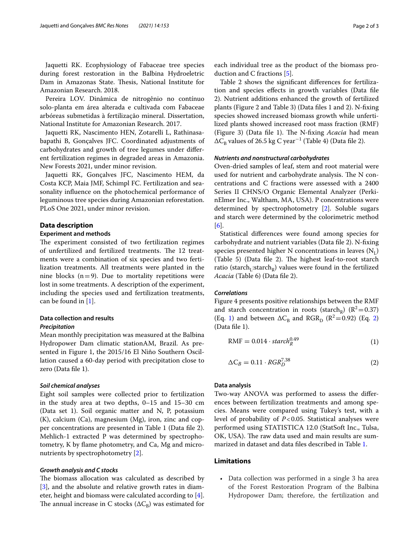Jaquetti RK. Ecophysiology of Fabaceae tree species during forest restoration in the Balbina Hydroeletric Dam in Amazonas State. Thesis, National Institute for Amazonian Research. 2018.

Pereira LOV. Dinâmica de nitrogênio no contínuo solo-planta em área alterada e cultivada com Fabaceae arbóreas submetidas à fertilização mineral. Dissertation, National Institute for Amazonian Research. 2017.

Jaquetti RK, Nascimento HEN, Zotarelli L, Rathinasabapathi B, Gonçalves JFC. Coordinated adjustments of carbohydrates and growth of tree legumes under diferent fertilization regimes in degraded areas in Amazonia. New Forests 2021, under minor revision.

Jaquetti RK, Gonçalves JFC, Nascimento HEM, da Costa KCP, Maia JMF, Schimpl FC. Fertilization and seasonality infuence on the photochemical performance of leguminous tree species during Amazonian reforestation. PLoS One 2021, under minor revision.

#### **Data description**

#### **Experiment and methods**

The experiment consisted of two fertilization regimes of unfertilized and fertilized treatments. The 12 treatments were a combination of six species and two fertilization treatments. All treatments were planted in the nine blocks  $(n=9)$ . Due to mortality repetitions were lost in some treatments. A description of the experiment, including the species used and fertilization treatments, can be found in [\[1](#page-2-0)].

## **Data collection and results**

### *Precipitation*

Mean monthly precipitation was measured at the Balbina Hydropower Dam climatic stationAM, Brazil. As presented in Figure 1, the 2015/16 El Niño Southern Oscillation caused a 60-day period with precipitation close to zero (Data fle 1).

#### *Soil chemical analyses*

Eight soil samples were collected prior to fertilization in the study area at two depths, 0–15 and 15–30 cm (Data set 1). Soil organic matter and N, P, potassium (K), calcium (Ca), magnesium (Mg), iron, zinc and copper concentrations are presented in Table 1 (Data fle 2). Mehlich-1 extracted P was determined by spectrophotometry, K by fame photometry, and Ca, Mg and micronutrients by spectrophotometry [[2\]](#page-2-1).

#### *Growth analysis and C stocks*

The biomass allocation was calculated as described by [[3\]](#page-2-2), and the absolute and relative growth rates in diameter, height and biomass were calculated according to [\[4](#page-2-3)]. The annual increase in C stocks ( $\Delta C_B$ ) was estimated for each individual tree as the product of the biomass production and C fractions [[5\]](#page-2-4).

Table 2 shows the signifcant diferences for fertilization and species efects in growth variables (Data fle 2). Nutrient additions enhanced the growth of fertilized plants (Figure 2 and Table 3) (Data fles 1 and 2). N-fxing species showed increased biomass growth while unfertilized plants showed increased root mass fraction (RMF) (Figure 3) (Data file 1). The N-fixing *Acacia* had mean  $\Delta C_B$  values of 26.5 kg C year<sup>-1</sup> (Table 4) (Data file 2).

#### *Nutrients and nonstructural carbohydrates*

Oven-dried samples of leaf, stem and root material were used for nutrient and carbohydrate analysis. The N concentrations and C fractions were assessed with a 2400 Series II CHNS/O Organic Elemental Analyzer (PerkinElmer Inc., Waltham, MA, USA). P concentrations were determined by spectrophotometry [[2\]](#page-2-1). Soluble sugars and starch were determined by the colorimetric method [[6\]](#page-2-5).

Statistical diferences were found among species for carbohydrate and nutrient variables (Data fle 2). N-fxing species presented higher N concentrations in leaves  $(N<sub>1</sub>)$ (Table  $5$ ) (Data file 2). The highest leaf-to-root starch ratio (starch<sub>L</sub>:starch<sub>R</sub>) values were found in the fertilized *Acacia* (Table 6) (Data fle 2).

#### *Correlations*

Figure 4 presents positive relationships between the RMF and starch concentration in roots (starch<sub>R</sub>) ( $R^2$  = 0.37) (Eq. [1\)](#page-1-0) and between  $\Delta C_B$  and RGR<sub>D</sub> (R<sup>[2](#page-1-1)</sup>=0.92) (Eq. 2) (Data fle 1).

<span id="page-1-0"></span>
$$
RMF = 0.014 \cdot \text{starch}_R^{0.49} \tag{1}
$$

<span id="page-1-1"></span>
$$
\Delta C_B = 0.11 \cdot RGR_D^{7.38} \tag{2}
$$

#### **Data analysis**

Two-way ANOVA was performed to assess the diferences between fertilization treatments and among species. Means were compared using Tukey's test, with a level of probability of *P*<0.05. Statistical analyses were performed using STATISTICA 12.0 (StatSoft Inc., Tulsa, OK, USA). The raw data used and main results are summarized in dataset and data fles described in Table [1](#page-2-6).

#### **Limitations**

• Data collection was performed in a single 3 ha area of the Forest Restoration Program of the Balbina Hydropower Dam; therefore, the fertilization and